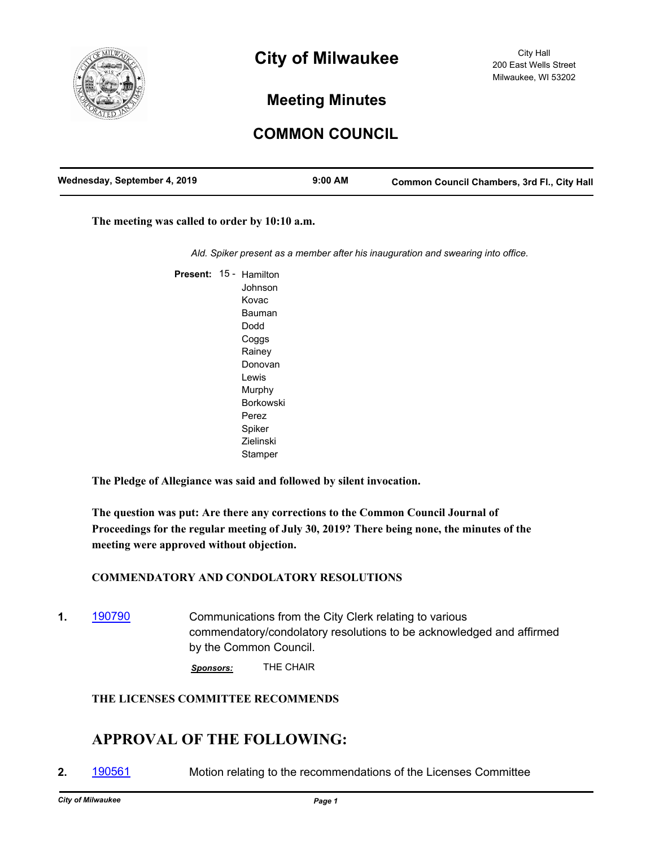

# **City of Milwaukee**

## **Meeting Minutes**

## **COMMON COUNCIL**

| Wednesday, September 4, 2019 | $9:00$ AM | <b>Common Council Chambers, 3rd Fl., City Hall</b> |
|------------------------------|-----------|----------------------------------------------------|
|                              |           |                                                    |

**The meeting was called to order by 10:10 a.m.**

*Ald. Spiker present as a member after his inauguration and swearing into office.*

Present: 15 - Hamilton Johnson Kovac Bauman Dodd Coggs Rainey Donovan Lewis Murphy Borkowski Perez Spiker Zielinski **Stamper** 

**The Pledge of Allegiance was said and followed by silent invocation.**

**The question was put: Are there any corrections to the Common Council Journal of Proceedings for the regular meeting of July 30, 2019? There being none, the minutes of the meeting were approved without objection.**

#### **COMMENDATORY AND CONDOLATORY RESOLUTIONS**

**1.** [190790](http://milwaukee.legistar.com/gateway.aspx?m=l&id=/matter.aspx?key=52510) **Communications from the City Clerk relating to various** commendatory/condolatory resolutions to be acknowledged and affirmed by the Common Council.

*Sponsors:* THE CHAIR

#### **THE LICENSES COMMITTEE RECOMMENDS**

### **APPROVAL OF THE FOLLOWING:**

**2.** [190561](http://milwaukee.legistar.com/gateway.aspx?m=l&id=/matter.aspx?key=52113) Motion relating to the recommendations of the Licenses Committee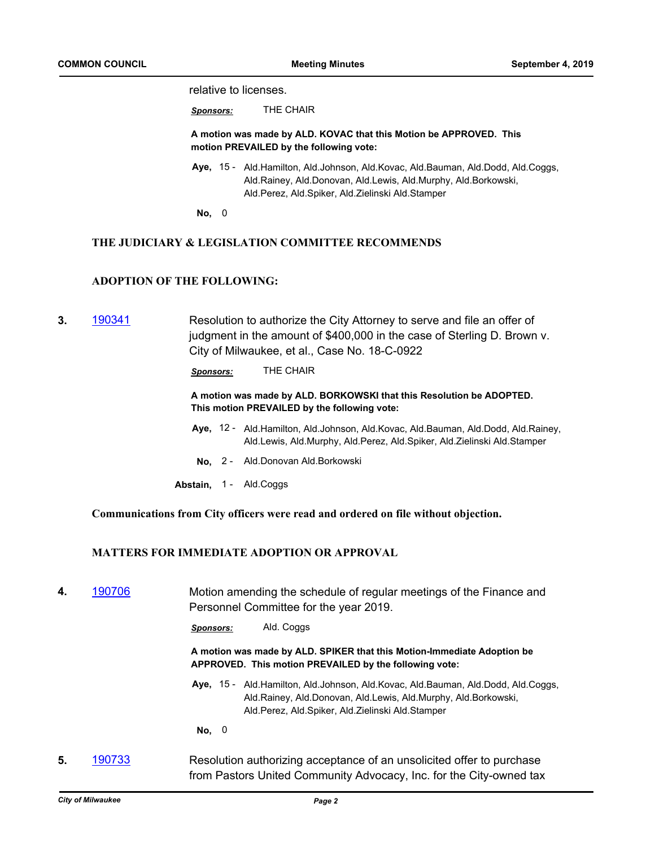relative to licenses.

*Sponsors:* THE CHAIR

**A motion was made by ALD. KOVAC that this Motion be APPROVED. This motion PREVAILED by the following vote:**

- Aye, 15 Ald.Hamilton, Ald.Johnson, Ald.Kovac, Ald.Bauman, Ald.Dodd, Ald.Coggs, Ald.Rainey, Ald.Donovan, Ald.Lewis, Ald.Murphy, Ald.Borkowski, Ald.Perez, Ald.Spiker, Ald.Zielinski Ald.Stamper
- **No,** 0

#### **THE JUDICIARY & LEGISLATION COMMITTEE RECOMMENDS**

#### **ADOPTION OF THE FOLLOWING:**

**3.** [190341](http://milwaukee.legistar.com/gateway.aspx?m=l&id=/matter.aspx?key=51813) Resolution to authorize the City Attorney to serve and file an offer of judgment in the amount of \$400,000 in the case of Sterling D. Brown v. City of Milwaukee, et al., Case No. 18-C-0922

*Sponsors:* THE CHAIR

#### **A motion was made by ALD. BORKOWSKI that this Resolution be ADOPTED. This motion PREVAILED by the following vote:**

- Aye, 12 Ald.Hamilton, Ald.Johnson, Ald.Kovac, Ald.Bauman, Ald.Dodd, Ald.Rainey, Ald.Lewis, Ald.Murphy, Ald.Perez, Ald.Spiker, Ald.Zielinski Ald.Stamper
- **No,** 2 Ald.Donovan Ald.Borkowski
- Abstain, 1 Ald.Coggs

**Communications from City officers were read and ordered on file without objection.**

#### **MATTERS FOR IMMEDIATE ADOPTION OR APPROVAL**

**4.** [190706](http://milwaukee.legistar.com/gateway.aspx?m=l&id=/matter.aspx?key=52372) Motion amending the schedule of regular meetings of the Finance and Personnel Committee for the year 2019.

*Sponsors:* Ald. Coggs

**A motion was made by ALD. SPIKER that this Motion-Immediate Adoption be APPROVED. This motion PREVAILED by the following vote:**

Aye, 15 - Ald.Hamilton, Ald.Johnson, Ald.Kovac, Ald.Bauman, Ald.Dodd, Ald.Coggs, Ald.Rainey, Ald.Donovan, Ald.Lewis, Ald.Murphy, Ald.Borkowski, Ald.Perez, Ald.Spiker, Ald.Zielinski Ald.Stamper

**No,** 0

**5.** [190733](http://milwaukee.legistar.com/gateway.aspx?m=l&id=/matter.aspx?key=52417) Resolution authorizing acceptance of an unsolicited offer to purchase from Pastors United Community Advocacy, Inc. for the City-owned tax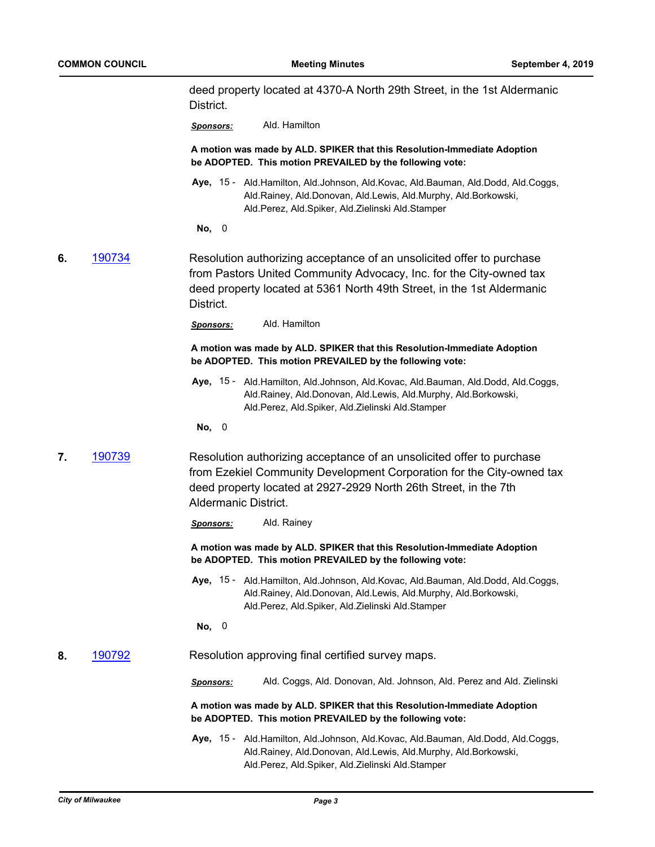deed property located at 4370-A North 29th Street, in the 1st Aldermanic District.

*Sponsors:* Ald. Hamilton

**A motion was made by ALD. SPIKER that this Resolution-Immediate Adoption be ADOPTED. This motion PREVAILED by the following vote:**

Aye, 15 - Ald.Hamilton, Ald.Johnson, Ald.Kovac, Ald.Bauman, Ald.Dodd, Ald.Coggs, Ald.Rainey, Ald.Donovan, Ald.Lewis, Ald.Murphy, Ald.Borkowski, Ald.Perez, Ald.Spiker, Ald.Zielinski Ald.Stamper

**No,** 0

**6.** [190734](http://milwaukee.legistar.com/gateway.aspx?m=l&id=/matter.aspx?key=52418) Resolution authorizing acceptance of an unsolicited offer to purchase from Pastors United Community Advocacy, Inc. for the City-owned tax deed property located at 5361 North 49th Street, in the 1st Aldermanic District.

*Sponsors:* Ald. Hamilton

#### **A motion was made by ALD. SPIKER that this Resolution-Immediate Adoption be ADOPTED. This motion PREVAILED by the following vote:**

Aye, 15 - Ald.Hamilton, Ald.Johnson, Ald.Kovac, Ald.Bauman, Ald.Dodd, Ald.Coggs, Ald.Rainey, Ald.Donovan, Ald.Lewis, Ald.Murphy, Ald.Borkowski, Ald.Perez, Ald.Spiker, Ald.Zielinski Ald.Stamper

**No,** 0

**7.** [190739](http://milwaukee.legistar.com/gateway.aspx?m=l&id=/matter.aspx?key=52427) Resolution authorizing acceptance of an unsolicited offer to purchase from Ezekiel Community Development Corporation for the City-owned tax deed property located at 2927-2929 North 26th Street, in the 7th Aldermanic District.

*Sponsors:* Ald. Rainey

**A motion was made by ALD. SPIKER that this Resolution-Immediate Adoption be ADOPTED. This motion PREVAILED by the following vote:**

Aye, 15 - Ald.Hamilton, Ald.Johnson, Ald.Kovac, Ald.Bauman, Ald.Dodd, Ald.Coggs, Ald.Rainey, Ald.Donovan, Ald.Lewis, Ald.Murphy, Ald.Borkowski, Ald.Perez, Ald.Spiker, Ald.Zielinski Ald.Stamper

**No,** 0

#### **8.** [190792](http://milwaukee.legistar.com/gateway.aspx?m=l&id=/matter.aspx?key=52512) Resolution approving final certified survey maps.

*Sponsors:* Ald. Coggs, Ald. Donovan, Ald. Johnson, Ald. Perez and Ald. Zielinski

**A motion was made by ALD. SPIKER that this Resolution-Immediate Adoption be ADOPTED. This motion PREVAILED by the following vote:**

Aye, 15 - Ald.Hamilton, Ald.Johnson, Ald.Kovac, Ald.Bauman, Ald.Dodd, Ald.Coggs, Ald.Rainey, Ald.Donovan, Ald.Lewis, Ald.Murphy, Ald.Borkowski, Ald.Perez, Ald.Spiker, Ald.Zielinski Ald.Stamper